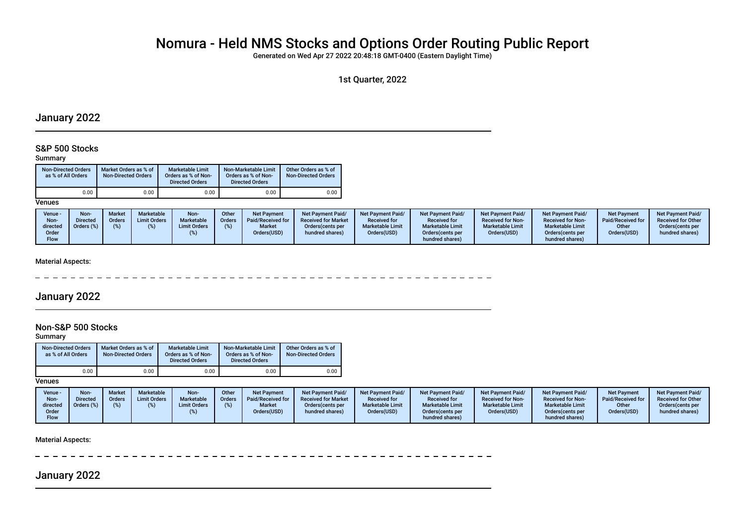# Nomura - Held NMS Stocks and Options Order Routing Public Report

Generated on Wed Apr 27 2022 20:48:18 GMT-0400 (Eastern Daylight Time)

1st Quarter, 2022

# January 2022

### S&P 500 Stocks

#### Summary

| <b>Non-Directed Orders</b><br>as % of All Orders | Market Orders as % of<br><b>Non-Directed Orders</b> | <b>Marketable Limit</b><br>Orders as % of Non-<br><b>Directed Orders</b> | Non-Marketable Limit<br>Orders as % of Non-<br><b>Directed Orders</b> | Other Orders as % of<br>Non-Directed Orders |
|--------------------------------------------------|-----------------------------------------------------|--------------------------------------------------------------------------|-----------------------------------------------------------------------|---------------------------------------------|
| 0.00.                                            | 0.00                                                | 0.00                                                                     | 0.00                                                                  | 0.00                                        |

**Venues** 

#### Material Aspects:

---------------- $- - - - - - -$ 

# January 2022

### Non-S&P 500 Stocks

Summary

| <b>Non-Directed Orders</b><br>as % of All Orders | Market Orders as % of<br><b>Non-Directed Orders</b> | <b>Marketable Limit</b><br>Orders as % of Non-<br><b>Directed Orders</b> | Non-Marketable Limit<br>Orders as % of Non-<br><b>Directed Orders</b> | Other Orders as % of<br><b>Non-Directed Orders</b> |
|--------------------------------------------------|-----------------------------------------------------|--------------------------------------------------------------------------|-----------------------------------------------------------------------|----------------------------------------------------|
| 0.00                                             | 0.00                                                | 0.00                                                                     | 0.00                                                                  | 0.00                                               |

**Venues** 

| Venue -<br>Non-<br>directed | Non-<br><b>Directed</b><br>Orders (%) | Market<br>Orders | Marketable<br><b>Limit Orders</b> | Non-<br>Marketable<br><b>Limit Orders</b> | Other<br><b>Orders</b> | Net Payment<br>Paid/Received for<br><b>Market</b> | <b>Net Payment Paid/</b><br><b>Received for Market</b><br>Orders (cents per | <b>Net Payment Paid/</b><br><b>Received for</b><br><b>Marketable Limit</b> | <b>Net Payment Paid/</b><br><b>Received for</b><br><b>Marketable Limit</b> | <b>Net Payment Paid/</b><br><b>Received for Non-</b><br><b>Marketable Limit</b> | <b>Net Payment Paid/</b><br><b>Received for Non-</b><br><b>Marketable Limit</b> | <b>Net Payment</b><br>Paid/Received for<br>Other | <b>Net Payment Paid/</b><br><b>Received for Other</b><br>Orders(cents per |
|-----------------------------|---------------------------------------|------------------|-----------------------------------|-------------------------------------------|------------------------|---------------------------------------------------|-----------------------------------------------------------------------------|----------------------------------------------------------------------------|----------------------------------------------------------------------------|---------------------------------------------------------------------------------|---------------------------------------------------------------------------------|--------------------------------------------------|---------------------------------------------------------------------------|
| Order                       |                                       |                  |                                   |                                           |                        | Orders(USD)                                       | hundred shares)                                                             | Orders(USD)                                                                | Orders (cents per                                                          | Orders(USD)                                                                     | Orders(cents per                                                                | Orders(USD)                                      | hundred shares)                                                           |
| <b>Flow</b>                 |                                       |                  |                                   |                                           |                        |                                                   |                                                                             |                                                                            | hundred shares)                                                            |                                                                                 | hundred shares)                                                                 |                                                  |                                                                           |

Material Aspects:

\_ \_ \_ \_ \_ \_ \_ \_ \_ \_ \_ \_ \_ \_ \_ \_ \_

January 2022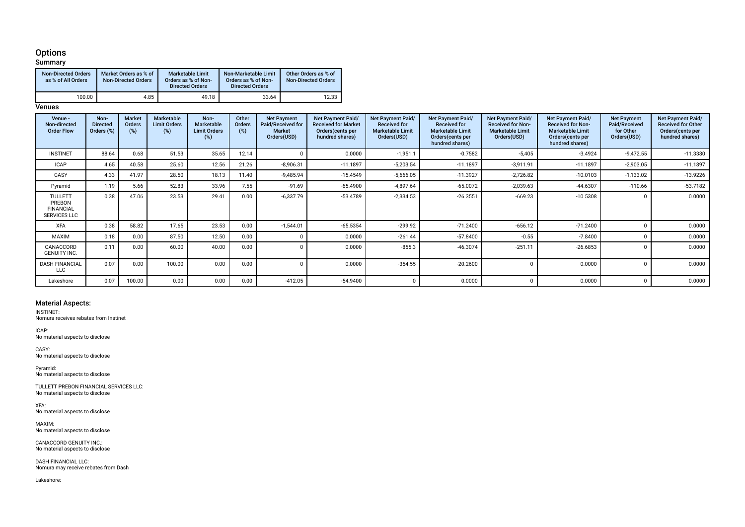# **Options**

#### **Summary** Non-Directed Orders as % of All Orders Market Orders as % of Non-Directed Orders Marketable Limit Orders as % of Non-Directed Orders Non-Marketable Limit Orders as % of Non-Directed Orders Other Orders as % of Non-Directed Orders 100.00 | 4.85 | 49.18 | 33.64 | 12.33

#### **Venues**

| Venue -<br>Non-directed<br><b>Order Flow</b>                        | Non-<br><b>Directed</b><br>Orders (%) | <b>Market</b><br>Orders<br>$(\%)$ | <b>Marketable</b><br><b>Limit Orders</b><br>(%) | Non-<br>Marketable<br><b>Limit Orders</b><br>(%) | Other<br><b>Orders</b><br>(%) | <b>Net Payment</b><br>Paid/Received for<br><b>Market</b><br>Orders(USD) | Net Payment Paid/<br><b>Received for Market</b><br>Orders (cents per<br>hundred shares) | Net Payment Paid/<br><b>Received for</b><br><b>Marketable Limit</b><br>Orders(USD) | Net Payment Paid/<br><b>Received for</b><br><b>Marketable Limit</b><br>Orders (cents per<br>hundred shares) | Net Payment Paid/<br><b>Received for Non-</b><br><b>Marketable Limit</b><br>Orders(USD) | Net Payment Paid/<br><b>Received for Non-</b><br><b>Marketable Limit</b><br>Orders (cents per<br>hundred shares) | <b>Net Payment</b><br>Paid/Received<br>for Other<br>Orders(USD) | Net Payment Paid/<br><b>Received for Other</b><br>Orders (cents per<br>hundred shares) |
|---------------------------------------------------------------------|---------------------------------------|-----------------------------------|-------------------------------------------------|--------------------------------------------------|-------------------------------|-------------------------------------------------------------------------|-----------------------------------------------------------------------------------------|------------------------------------------------------------------------------------|-------------------------------------------------------------------------------------------------------------|-----------------------------------------------------------------------------------------|------------------------------------------------------------------------------------------------------------------|-----------------------------------------------------------------|----------------------------------------------------------------------------------------|
| <b>INSTINET</b>                                                     | 88.64                                 | 0.68                              | 51.53                                           | 35.65                                            | 12.14                         |                                                                         | 0.0000                                                                                  | $-1,951.1$                                                                         | $-0.7582$                                                                                                   | $-5,405$                                                                                | $-3.4924$                                                                                                        | $-9,472.55$                                                     | $-11.3380$                                                                             |
| <b>ICAP</b>                                                         | 4.65                                  | 40.58                             | 25.60                                           | 12.56                                            | 21.26                         | $-8,906.31$                                                             | $-11.1897$                                                                              | $-5,203.54$                                                                        | $-11.1897$                                                                                                  | $-3,911.91$                                                                             | $-11.1897$                                                                                                       | $-2,903.05$                                                     | $-11.1897$                                                                             |
| CASY                                                                | 4.33                                  | 41.97                             | 28.50                                           | 18.13                                            | 11.40                         | $-9,485.94$                                                             | $-15.4549$                                                                              | $-5,666.05$                                                                        | $-11.3927$                                                                                                  | $-2,726.82$                                                                             | $-10.0103$                                                                                                       | $-1,133.02$                                                     | $-13.9226$                                                                             |
| Pyramid                                                             | 1.19                                  | 5.66                              | 52.83                                           | 33.96                                            | 7.55                          | $-91.69$                                                                | $-65.4900$                                                                              | $-4,897.64$                                                                        | $-65.0072$                                                                                                  | $-2,039.63$                                                                             | $-44.6307$                                                                                                       | $-110.66$                                                       | $-53.7182$                                                                             |
| <b>TULLETT</b><br>PREBON<br><b>FINANCIAL</b><br><b>SERVICES LLC</b> | 0.38                                  | 47.06                             | 23.53                                           | 29.41                                            | 0.00                          | $-6,337.79$                                                             | $-53.4789$                                                                              | $-2,334.53$                                                                        | $-26.3551$                                                                                                  | $-669.23$                                                                               | $-10.5308$                                                                                                       |                                                                 | 0.0000                                                                                 |
| <b>XFA</b>                                                          | 0.38                                  | 58.82                             | 17.65                                           | 23.53                                            | 0.00                          | $-1,544.01$                                                             | $-65.5354$                                                                              | $-299.92$                                                                          | $-71.2400$                                                                                                  | $-656.12$                                                                               | $-71.2400$                                                                                                       |                                                                 | 0.0000                                                                                 |
| MAXIM                                                               | 0.18                                  | 0.00                              | 87.50                                           | 12.50                                            | 0.00                          |                                                                         | 0.0000                                                                                  | $-261.44$                                                                          | $-57.8400$                                                                                                  | $-0.55$                                                                                 | $-7.8400$                                                                                                        |                                                                 | 0.0000                                                                                 |
| CANACCORD<br><b>GENUITY INC.</b>                                    | 0.11                                  | 0.00                              | 60.00                                           | 40.00                                            | 0.00                          |                                                                         | 0.0000                                                                                  | $-855.3$                                                                           | $-46.3074$                                                                                                  | $-251.11$                                                                               | $-26.6853$                                                                                                       |                                                                 | 0.0000                                                                                 |
| <b>DASH FINANCIAL</b><br><b>LLC</b>                                 | 0.07                                  | 0.00                              | 100.00                                          | 0.00                                             | 0.00                          |                                                                         | 0.0000                                                                                  | $-354.55$                                                                          | $-20.2600$                                                                                                  |                                                                                         | 0.0000                                                                                                           |                                                                 | 0.0000                                                                                 |
| Lakeshore                                                           | 0.07                                  | 100.00                            | 0.00                                            | 0.00                                             | 0.00                          | $-412.05$                                                               | $-54.9400$                                                                              | 0                                                                                  | 0.0000                                                                                                      | $\Omega$                                                                                | 0.0000                                                                                                           |                                                                 | 0.0000                                                                                 |

#### Material Aspects:

INSTINET:

Nomura receives rebates from Instinet

ICAP: No material aspects to disclose

CASY: No material aspects to disclose

Pyramid: No material aspects to disclose

TULLETT PREBON FINANCIAL SERVICES LLC: No material aspects to disclose

XFA: No material aspects to disclose

MAXIM: No material aspects to disclose

CANACCORD GENUITY INC.: No material aspects to disclose

DASH FINANCIAL LLC: Nomura may receive rebates from Dash

Lakeshore: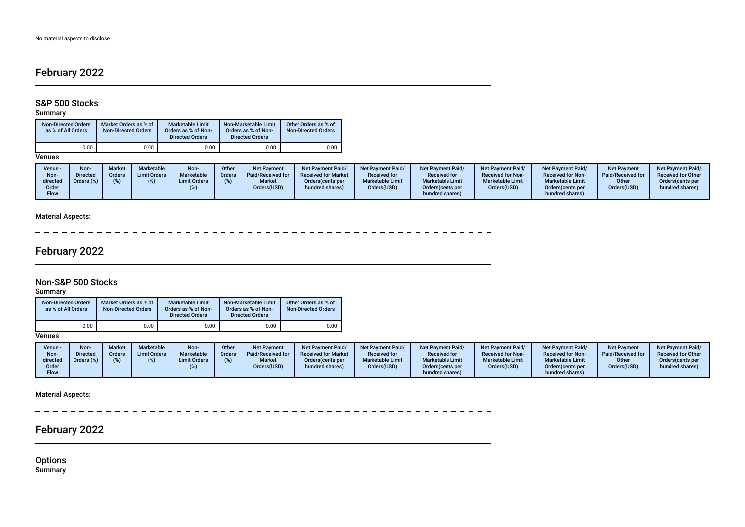# February 2022

# S&P 500 Stocks

#### Summary

| <b>Non-Directed Orders</b><br>as % of All Orders | Market Orders as % of<br><b>Non-Directed Orders</b> | Marketable Limit<br>Orders as % of Non-<br><b>Directed Orders</b> | Non-Marketable Limit<br>Orders as % of Non-<br><b>Directed Orders</b> | Other Orders as % of<br><b>Non-Directed Orders</b> |
|--------------------------------------------------|-----------------------------------------------------|-------------------------------------------------------------------|-----------------------------------------------------------------------|----------------------------------------------------|
| 0.00                                             | 0.00                                                | 0.00                                                              | 0.00                                                                  | 0.00                                               |

#### **Venues**

| Venue -<br>Non-<br>directed<br>Order<br><b>Flow</b> | <b>Non-</b><br><b>Market</b><br><b>Directed</b><br><b>Orders</b><br>Orders (%) | <b>Marketable</b><br><b>Limit Orders</b> | Non-<br>Marketable<br><b>Limit Orders</b> | Other<br><b>Orders</b> | <b>Net Payment</b><br>Paid/Received for<br><b>Market</b><br>Orders(USD) | <b>Net Payment Paid/</b><br><b>Received for Market</b><br>Orders (cents per<br>hundred shares) | <b>Net Payment Paid/</b><br><b>Received for</b><br><b>Marketable Limit</b><br>Orders(USD) | <b>Net Payment Paid/</b><br><b>Received for</b><br><b>Marketable Limit</b><br>Orders (cents per<br>hundred shares) | Net Payment Paid/<br><b>Received for Non-</b><br><b>Marketable Limit</b><br>Orders(USD) | <b>Net Payment Paid/</b><br><b>Received for Non-</b><br><b>Marketable Limit</b><br>Orders(cents per<br>hundred shares) | <b>Net Payment</b><br>Paid/Received for<br>Other<br>Orders(USD) | <b>Net Payment Paid/</b><br><b>Received for Other</b><br>Orders(cents per<br>hundred shares) |
|-----------------------------------------------------|--------------------------------------------------------------------------------|------------------------------------------|-------------------------------------------|------------------------|-------------------------------------------------------------------------|------------------------------------------------------------------------------------------------|-------------------------------------------------------------------------------------------|--------------------------------------------------------------------------------------------------------------------|-----------------------------------------------------------------------------------------|------------------------------------------------------------------------------------------------------------------------|-----------------------------------------------------------------|----------------------------------------------------------------------------------------------|
|-----------------------------------------------------|--------------------------------------------------------------------------------|------------------------------------------|-------------------------------------------|------------------------|-------------------------------------------------------------------------|------------------------------------------------------------------------------------------------|-------------------------------------------------------------------------------------------|--------------------------------------------------------------------------------------------------------------------|-----------------------------------------------------------------------------------------|------------------------------------------------------------------------------------------------------------------------|-----------------------------------------------------------------|----------------------------------------------------------------------------------------------|

### Material Aspects:

 $\frac{1}{2}$  . <br>  $\frac{1}{2}$  . <br>  $\frac{1}{2}$  . <br>  $\frac{1}{2}$  . <br>  $\frac{1}{2}$  . <br>  $\frac{1}{2}$  . <br>  $\frac{1}{2}$  . <br>  $\frac{1}{2}$  . <br>  $\frac{1}{2}$  . <br><br><br><br><br><br><br><br><br><br><br><br><br><br><br><br><br><br><br><br><br><br> \_ \_ \_ \_ \_ \_ \_ \_ \_ \_ \_ \_ \_ \_ \_ \_ \_ \_ \_ \_ \_ \_ \_ \_ \_ \_ \_ \_ \_ \_ \_ \_ \_ \_  $\overline{\phantom{0}}$ 

# February 2022

### Non-S&P 500 Stocks

### **Summary**

| <b>Non-Directed Orders</b><br>as % of All Orders | Market Orders as % of<br><b>Non-Directed Orders</b> | Marketable Limit<br>Orders as % of Non-<br><b>Directed Orders</b> | Non-Marketable Limit<br>Orders as % of Non-<br><b>Directed Orders</b> | Other Orders as % of<br><b>Non-Directed Orders</b> |
|--------------------------------------------------|-----------------------------------------------------|-------------------------------------------------------------------|-----------------------------------------------------------------------|----------------------------------------------------|
| 0.00                                             | 0.00                                                | 0.00                                                              | 0.00                                                                  | 0.00                                               |

### **Venues**

| Venue -<br>Non-<br>directed<br>)rder<br>Flow | <b>Non-</b><br><b>Market</b><br>Orders<br><b>Directed</b><br><b>Orders</b> (%) | Marketable<br><b>Limit Orders</b> | Non-<br>Marketable<br><b>Limit Orders</b> | Other<br><b>Orders</b> | <b>Net Payment</b><br>Paid/Received for<br><b>Market</b><br>Orders(USD) | Net Payment Paid/<br><b>Received for Market</b><br>Orders (cents per<br>hundred shares) | <b>Net Payment Paid/</b><br><b>Received for</b><br><b>Marketable Limit</b><br>Orders(USD) | <b>Net Payment Paid/</b><br><b>Received for</b><br><b>Marketable Limit</b><br>Orders (cents per<br>hundred shares) | <b>Net Payment Paid/</b><br><b>Received for Non-</b><br><b>Marketable Limit</b><br>Orders(USD) | Net Payment Paid/<br><b>Received for Non-</b><br><b>Marketable Limit</b><br>Orders(cents per<br>hundred shares) | <b>Net Payment</b><br>Paid/Received for<br>Other<br>Orders(USD) | <b>Net Payment Paid/</b><br><b>Received for Other</b><br>Orders (cents per<br>hundred shares) |
|----------------------------------------------|--------------------------------------------------------------------------------|-----------------------------------|-------------------------------------------|------------------------|-------------------------------------------------------------------------|-----------------------------------------------------------------------------------------|-------------------------------------------------------------------------------------------|--------------------------------------------------------------------------------------------------------------------|------------------------------------------------------------------------------------------------|-----------------------------------------------------------------------------------------------------------------|-----------------------------------------------------------------|-----------------------------------------------------------------------------------------------|
|----------------------------------------------|--------------------------------------------------------------------------------|-----------------------------------|-------------------------------------------|------------------------|-------------------------------------------------------------------------|-----------------------------------------------------------------------------------------|-------------------------------------------------------------------------------------------|--------------------------------------------------------------------------------------------------------------------|------------------------------------------------------------------------------------------------|-----------------------------------------------------------------------------------------------------------------|-----------------------------------------------------------------|-----------------------------------------------------------------------------------------------|

Material Aspects:

 $- -$ ----------------------- $\equiv$   $\equiv$   $\equiv$  $\frac{1}{2}$  $\overline{\phantom{a}}$  $- - - - - - \equiv$  $\overline{\phantom{0}}$  $\sim$  $\overline{\phantom{a}}$  $\overline{\phantom{0}}$  $\overline{\phantom{a}}$ 

# February 2022

**Options** Summary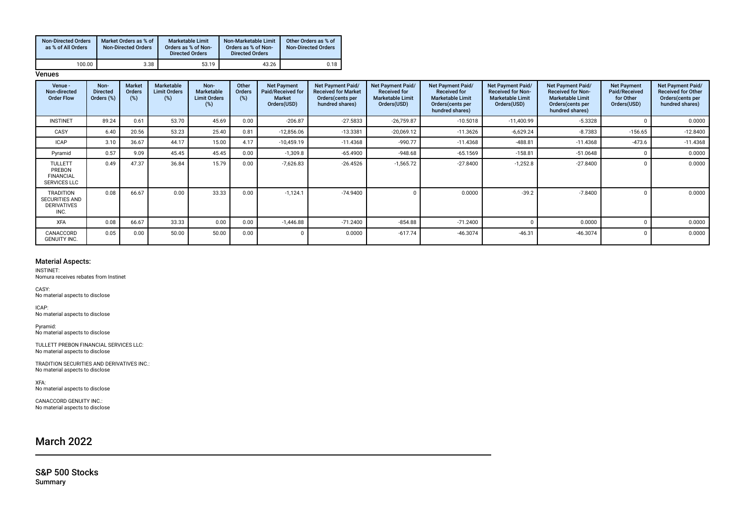| <b>Non-Directed Orders</b><br>as % of All Orders | Market Orders as % of<br><b>Non-Directed Orders</b> | <b>Marketable Limit</b><br>Orders as % of Non-<br><b>Directed Orders</b> | Non-Marketable Limit<br>Orders as % of Non-<br><b>Directed Orders</b> | Other Orders as % of<br><b>Non-Directed Orders</b> |
|--------------------------------------------------|-----------------------------------------------------|--------------------------------------------------------------------------|-----------------------------------------------------------------------|----------------------------------------------------|
| 100.00                                           | 3.38                                                | 53.19                                                                    | 43.26                                                                 | 0.18                                               |

**Venues** 

| Venue -<br>Non-directed<br><b>Order Flow</b>                            | Non-<br><b>Directed</b><br>Orders (%) | <b>Market</b><br><b>Orders</b><br>(%) | Marketable<br><b>Limit Orders</b><br>(%) | Non-<br><b>Marketable</b><br><b>Limit Orders</b><br>(%) | Other<br><b>Orders</b><br>(%) | <b>Net Payment</b><br>Paid/Received for<br><b>Market</b><br>Orders(USD) | Net Payment Paid/<br><b>Received for Market</b><br>Orders (cents per<br>hundred shares) | <b>Net Payment Paid/</b><br><b>Received for</b><br><b>Marketable Limit</b><br>Orders(USD) | Net Payment Paid/<br><b>Received for</b><br><b>Marketable Limit</b><br>Orders (cents per<br>hundred shares) | Net Payment Paid/<br><b>Received for Non-</b><br><b>Marketable Limit</b><br>Orders(USD) | <b>Net Payment Paid/</b><br><b>Received for Non-</b><br><b>Marketable Limit</b><br>Orders (cents per<br>hundred shares) | <b>Net Payment</b><br>Paid/Received<br>for Other<br>Orders(USD) | Net Payment Paid/<br><b>Received for Other</b><br>Orders (cents per<br>hundred shares) |
|-------------------------------------------------------------------------|---------------------------------------|---------------------------------------|------------------------------------------|---------------------------------------------------------|-------------------------------|-------------------------------------------------------------------------|-----------------------------------------------------------------------------------------|-------------------------------------------------------------------------------------------|-------------------------------------------------------------------------------------------------------------|-----------------------------------------------------------------------------------------|-------------------------------------------------------------------------------------------------------------------------|-----------------------------------------------------------------|----------------------------------------------------------------------------------------|
| <b>INSTINET</b>                                                         | 89.24                                 | 0.61                                  | 53.70                                    | 45.69                                                   | 0.00                          | $-206.87$                                                               | $-27.5833$                                                                              | $-26,759.87$                                                                              | $-10.5018$                                                                                                  | $-11,400.99$                                                                            | $-5.3328$                                                                                                               |                                                                 | 0.0000                                                                                 |
| CASY                                                                    | 6.40                                  | 20.56                                 | 53.23                                    | 25.40                                                   | 0.81                          | $-12,856.06$                                                            | $-13.3381$                                                                              | $-20,069.12$                                                                              | $-11.3626$                                                                                                  | $-6,629.24$                                                                             | $-8.7383$                                                                                                               | $-156.65$                                                       | $-12.8400$                                                                             |
| ICAP                                                                    | 3.10                                  | 36.67                                 | 44.17                                    | 15.00                                                   | 4.17                          | $-10,459.19$                                                            | $-11.4368$                                                                              | $-990.77$                                                                                 | $-11.4368$                                                                                                  | $-488.81$                                                                               | $-11.4368$                                                                                                              | $-473.6$                                                        | $-11.4368$                                                                             |
| Pyramid                                                                 | 0.57                                  | 9.09                                  | 45.45                                    | 45.45                                                   | 0.00                          | $-1,309.8$                                                              | $-65.4900$                                                                              | $-948.68$                                                                                 | $-65.1569$                                                                                                  | $-158.81$                                                                               | $-51.0648$                                                                                                              |                                                                 | 0.0000                                                                                 |
| <b>TULLETT</b><br>PREBON<br><b>FINANCIAL</b><br><b>SERVICES LLC</b>     | 0.49                                  | 47.37                                 | 36.84                                    | 15.79                                                   | 0.00                          | $-7,626.83$                                                             | $-26.4526$                                                                              | $-1,565.72$                                                                               | $-27.8400$                                                                                                  | $-1,252.8$                                                                              | $-27.8400$                                                                                                              |                                                                 | 0.0000                                                                                 |
| <b>TRADITION</b><br><b>SECURITIES AND</b><br><b>DERIVATIVES</b><br>INC. | 0.08                                  | 66.67                                 | 0.00                                     | 33.33                                                   | 0.00                          | $-1,124.1$                                                              | $-74.9400$                                                                              |                                                                                           | 0.0000                                                                                                      | $-39.2$                                                                                 | $-7.8400$                                                                                                               |                                                                 | 0.0000                                                                                 |
| <b>XFA</b>                                                              | 0.08                                  | 66.67                                 | 33.33                                    | 0.00                                                    | 0.00                          | $-1.446.88$                                                             | $-71.2400$                                                                              | $-854.88$                                                                                 | $-71.2400$                                                                                                  |                                                                                         | 0.0000                                                                                                                  |                                                                 | 0.0000                                                                                 |
| CANACCORD<br><b>GENUITY INC.</b>                                        | 0.05                                  | 0.00                                  | 50.00                                    | 50.00                                                   | 0.00                          |                                                                         | 0.0000                                                                                  | $-617.74$                                                                                 | $-46.3074$                                                                                                  | $-46.31$                                                                                | $-46.3074$                                                                                                              |                                                                 | 0.0000                                                                                 |

#### Material Aspects:

INSTINET: Nomura receives rebates from Instinet

CASY: No material aspects to disclose

ICAP: No material aspects to disclose

Pyramid: No material aspects to disclose

TULLETT PREBON FINANCIAL SERVICES LLC: No material aspects to disclose

TRADITION SECURITIES AND DERIVATIVES INC.: No material aspects to disclose

XFA: No material aspects to disclose

CANACCORD GENUITY INC.: No material aspects to disclose

# March 2022

S&P 500 Stocks Summary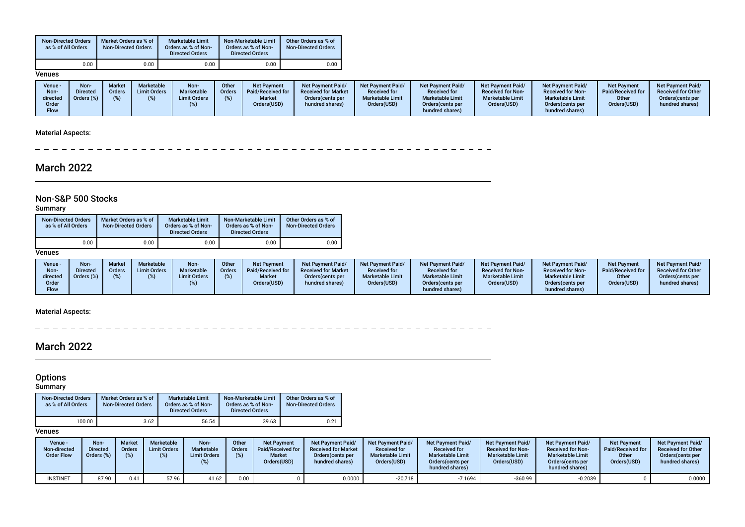| <b>Non-Directed Orders</b><br>as % of All Orders | Market Orders as % of<br><b>Non-Directed Orders</b> | <b>Marketable Limit</b><br>Orders as % of Non-<br><b>Directed Orders</b> | Non-Marketable Limit<br>Orders as % of Non-<br><b>Directed Orders</b> | Other Orders as % of<br><b>Non-Directed Orders</b> |
|--------------------------------------------------|-----------------------------------------------------|--------------------------------------------------------------------------|-----------------------------------------------------------------------|----------------------------------------------------|
| 0.00                                             | 0.00                                                | 0.00                                                                     | 0.00                                                                  | 0.00                                               |

**Venues** 

| Venue -<br>Non-<br>directed<br>)rder<br>Flow | Non-<br><b>Directed</b><br>Orders (%) | <b>Market</b><br>Orders | <b>Marketable</b><br><b>Limit Orders</b> | Non-<br>Marketable<br><b>Limit Orders</b> | Other<br><b>Orders</b> | <b>Net Payment</b><br>Paid/Received for<br><b>Market</b><br>Orders(USD) | <b>Net Payment Paid/</b><br><b>Received for Market</b><br>Orders (cents per<br>hundred shares) | <b>Net Payment Paid/</b><br><b>Received for</b><br><b>Marketable Limit</b><br>Orders(USD) | <b>Net Payment Paid/</b><br><b>Received for</b><br><b>Marketable Limit</b><br>Orders (cents per<br>hundred shares) | <b>Net Payment Paid/</b><br><b>Received for Non-</b><br><b>Marketable Limit</b><br>Orders(USD) | <b>Net Payment Paid/</b><br><b>Received for Non-</b><br><b>Marketable Limit</b><br>Orders(cents per<br>hundred shares) | Net Payment<br>Paid/Received for<br>Other<br>Orders(USD) | <b>Net Payment Paid/</b><br><b>Received for Other</b><br>Orders (cents per<br>hundred shares) |
|----------------------------------------------|---------------------------------------|-------------------------|------------------------------------------|-------------------------------------------|------------------------|-------------------------------------------------------------------------|------------------------------------------------------------------------------------------------|-------------------------------------------------------------------------------------------|--------------------------------------------------------------------------------------------------------------------|------------------------------------------------------------------------------------------------|------------------------------------------------------------------------------------------------------------------------|----------------------------------------------------------|-----------------------------------------------------------------------------------------------|
|----------------------------------------------|---------------------------------------|-------------------------|------------------------------------------|-------------------------------------------|------------------------|-------------------------------------------------------------------------|------------------------------------------------------------------------------------------------|-------------------------------------------------------------------------------------------|--------------------------------------------------------------------------------------------------------------------|------------------------------------------------------------------------------------------------|------------------------------------------------------------------------------------------------------------------------|----------------------------------------------------------|-----------------------------------------------------------------------------------------------|

### Material Aspects:

 $- - - - - - - - -$ \_ \_ \_ \_ \_ \_ \_ \_ \_ \_ \_ \_ \_ \_ \_  $\sim$   $\sim$ 

# March 2022

### Non-S&P 500 Stocks

**Summary** 

| <b>Non-Directed Orders</b><br>as % of All Orders | Market Orders as % of<br><b>Non-Directed Orders</b> | <b>Marketable Limit</b><br>Orders as % of Non-<br><b>Directed Orders</b> | Non-Marketable Limit<br>Orders as % of Non-<br><b>Directed Orders</b> | Other Orders as % of<br><b>Non-Directed Orders</b> |  |
|--------------------------------------------------|-----------------------------------------------------|--------------------------------------------------------------------------|-----------------------------------------------------------------------|----------------------------------------------------|--|
| 0.00                                             | 0.00                                                | 0.00                                                                     | 0.00                                                                  | 0.00                                               |  |

#### **Venues**

### Material Aspects:

\_ \_ \_ \_ \_ \_ \_ \_ \_ \_ \_ \_ \_ \_  $\sim$ 

# March 2022

### **Options**

#### Summary

| <b>Non-Directed Orders</b><br>as % of All Orders | Market Orders as % of<br><b>Non-Directed Orders</b> | <b>Marketable Limit</b><br>Orders as % of Non-<br><b>Directed Orders</b> | Non-Marketable Limit<br>Orders as % of Non-<br><b>Directed Orders</b> | Other Orders as % of<br><b>Non-Directed Orders</b> |  |  |
|--------------------------------------------------|-----------------------------------------------------|--------------------------------------------------------------------------|-----------------------------------------------------------------------|----------------------------------------------------|--|--|
| 100.00                                           | 3.62                                                | 56.54                                                                    | 39.63                                                                 | 0.21                                               |  |  |

#### **Venues**

| Venue -<br>Non-directed<br><b>Order Flow</b> | Non-<br><b>Directed</b><br>Orders (%) | <b>Market</b><br><b>Orders</b><br>(%) | Marketable<br><b>Limit Orders</b> | Non-<br>Marketable<br><b>Limit Orders</b> | Other<br>Orders<br>(%) | Net Payment<br>Paid/Received for<br><b>Market</b><br>Orders(USD) | <b>Net Payment Paid/</b><br><b>Received for Market</b><br>Orders (cents per<br>hundred shares) | <b>Net Payment Paid/</b><br><b>Received for</b><br><b>Marketable Limit</b><br>Orders(USD) | Net Payment Paid<br><b>Received for</b><br><b>Marketable Limit</b><br>Orders (cents per<br>hundred shares) | <b>Net Payment Paid/</b><br><b>Received for Non-</b><br><b>Marketable Limit</b><br>Orders(USD) | <b>Net Payment Paid/</b><br><b>Received for Non-</b><br><b>Marketable Limit</b><br>Orders (cents per<br>hundred shares) | <b>Net Payment</b><br>Paid/Received for<br>Other<br>Orders(USD) | Net Payment Paid/<br><b>Received for Other</b><br>Orders(cents per<br>hundred shares) |
|----------------------------------------------|---------------------------------------|---------------------------------------|-----------------------------------|-------------------------------------------|------------------------|------------------------------------------------------------------|------------------------------------------------------------------------------------------------|-------------------------------------------------------------------------------------------|------------------------------------------------------------------------------------------------------------|------------------------------------------------------------------------------------------------|-------------------------------------------------------------------------------------------------------------------------|-----------------------------------------------------------------|---------------------------------------------------------------------------------------|
| <b>INSTINET</b>                              | 87.90                                 | 0.41                                  | 57.96                             | 41.62                                     | 0.00                   |                                                                  | 0.0000                                                                                         | $-20,718$                                                                                 | $-7.1694$                                                                                                  | $-360.99$                                                                                      | 0.2039                                                                                                                  |                                                                 | 0.0000                                                                                |